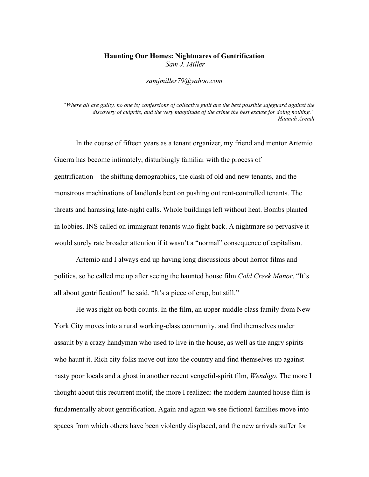## Haunting Our Homes: Nightmares of Gentrification *Sam J. Miller*

*samjmiller79@yahoo.com*

*"Where all are guilty, no one is; confessions of collective guilt are the best possible safeguard against the discovery of culprits, and the very magnitude of the crime the best excuse for doing nothing." —Hannah Arendt*

In the course of fifteen years as a tenant organizer, my friend and mentor Artemio Guerra has become intimately, disturbingly familiar with the process of gentrification—the shifting demographics, the clash of old and new tenants, and the monstrous machinations of landlords bent on pushing out rent-controlled tenants. The threats and harassing late-night calls. Whole buildings left without heat. Bombs planted in lobbies. INS called on immigrant tenants who fight back. A nightmare so pervasive it would surely rate broader attention if it wasn't a "normal" consequence of capitalism.

Artemio and I always end up having long discussions about horror films and politics, so he called me up after seeing the haunted house film *Cold Creek Manor*. "It's all about gentrification!" he said. "It's a piece of crap, but still."

He was right on both counts. In the film, an upper-middle class family from New York City moves into a rural working-class community, and find themselves under assault by a crazy handyman who used to live in the house, as well as the angry spirits who haunt it. Rich city folks move out into the country and find themselves up against nasty poor locals and a ghost in another recent vengeful-spirit film, *Wendigo*. The more I thought about this recurrent motif, the more I realized: the modern haunted house film is fundamentally about gentrification. Again and again we see fictional families move into spaces from which others have been violently displaced, and the new arrivals suffer for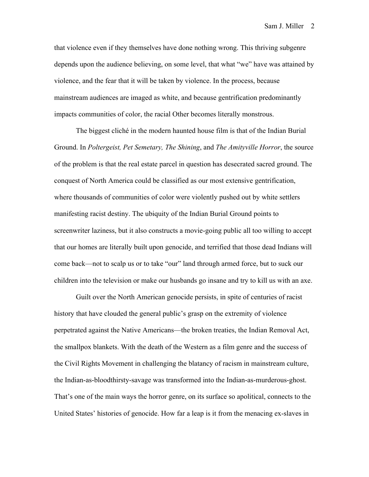that violence even if they themselves have done nothing wrong. This thriving subgenre depends upon the audience believing, on some level, that what "we" have was attained by violence, and the fear that it will be taken by violence. In the process, because mainstream audiences are imaged as white, and because gentrification predominantly impacts communities of color, the racial Other becomes literally monstrous.

The biggest cliché in the modern haunted house film is that of the Indian Burial Ground. In *Poltergeist, Pet Semetary, The Shining*, and *The Amityville Horror*, the source of the problem is that the real estate parcel in question has desecrated sacred ground. The conquest of North America could be classified as our most extensive gentrification, where thousands of communities of color were violently pushed out by white settlers manifesting racist destiny. The ubiquity of the Indian Burial Ground points to screenwriter laziness, but it also constructs a movie-going public all too willing to accept that our homes are literally built upon genocide, and terrified that those dead Indians will come back—not to scalp us or to take "our" land through armed force, but to suck our children into the television or make our husbands go insane and try to kill us with an axe.

Guilt over the North American genocide persists, in spite of centuries of racist history that have clouded the general public's grasp on the extremity of violence perpetrated against the Native Americans—the broken treaties, the Indian Removal Act, the smallpox blankets. With the death of the Western as a film genre and the success of the Civil Rights Movement in challenging the blatancy of racism in mainstream culture, the Indian-as-bloodthirsty-savage was transformed into the Indian-as-murderous-ghost. That's one of the main ways the horror genre, on its surface so apolitical, connects to the United States' histories of genocide. How far a leap is it from the menacing ex-slaves in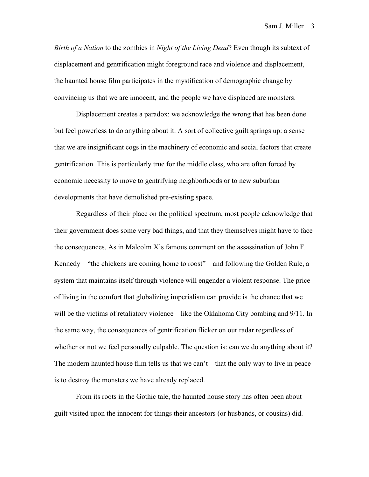*Birth of a Nation* to the zombies in *Night of the Living Dead*? Even though its subtext of displacement and gentrification might foreground race and violence and displacement, the haunted house film participates in the mystification of demographic change by convincing us that we are innocent, and the people we have displaced are monsters.

Displacement creates a paradox: we acknowledge the wrong that has been done but feel powerless to do anything about it. A sort of collective guilt springs up: a sense that we are insignificant cogs in the machinery of economic and social factors that create gentrification. This is particularly true for the middle class, who are often forced by economic necessity to move to gentrifying neighborhoods or to new suburban developments that have demolished pre-existing space.

Regardless of their place on the political spectrum, most people acknowledge that their government does some very bad things, and that they themselves might have to face the consequences. As in Malcolm X's famous comment on the assassination of John F. Kennedy—"the chickens are coming home to roost"—and following the Golden Rule, a system that maintains itself through violence will engender a violent response. The price of living in the comfort that globalizing imperialism can provide is the chance that we will be the victims of retaliatory violence—like the Oklahoma City bombing and 9/11. In the same way, the consequences of gentrification flicker on our radar regardless of whether or not we feel personally culpable. The question is: can we do anything about it? The modern haunted house film tells us that we can't—that the only way to live in peace is to destroy the monsters we have already replaced.

From its roots in the Gothic tale, the haunted house story has often been about guilt visited upon the innocent for things their ancestors (or husbands, or cousins) did.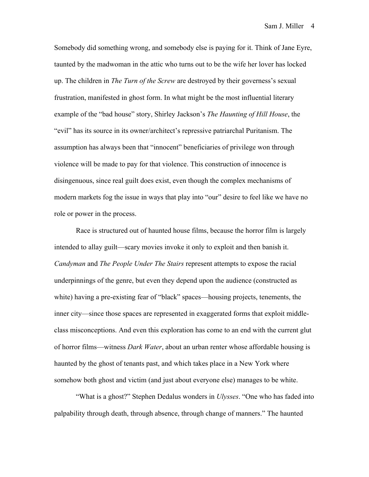Somebody did something wrong, and somebody else is paying for it. Think of Jane Eyre, taunted by the madwoman in the attic who turns out to be the wife her lover has locked up. The children in *The Turn of the Screw* are destroyed by their governess's sexual frustration, manifested in ghost form. In what might be the most influential literary example of the "bad house" story, Shirley Jackson's *The Haunting of Hill House*, the "evil" has its source in its owner/architect's repressive patriarchal Puritanism. The assumption has always been that "innocent" beneficiaries of privilege won through violence will be made to pay for that violence. This construction of innocence is disingenuous, since real guilt does exist, even though the complex mechanisms of modern markets fog the issue in ways that play into "our" desire to feel like we have no role or power in the process.

Race is structured out of haunted house films, because the horror film is largely intended to allay guilt—scary movies invoke it only to exploit and then banish it. *Candyman* and *The People Under The Stairs* represent attempts to expose the racial underpinnings of the genre, but even they depend upon the audience (constructed as white) having a pre-existing fear of "black" spaces—housing projects, tenements, the inner city—since those spaces are represented in exaggerated forms that exploit middleclass misconceptions. And even this exploration has come to an end with the current glut of horror films—witness *Dark Water*, about an urban renter whose affordable housing is haunted by the ghost of tenants past, and which takes place in a New York where somehow both ghost and victim (and just about everyone else) manages to be white.

"What is a ghost?" Stephen Dedalus wonders in *Ulysses*. "One who has faded into palpability through death, through absence, through change of manners." The haunted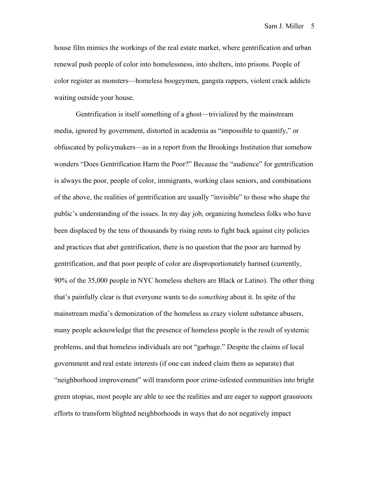house film mimics the workings of the real estate market, where gentrification and urban renewal push people of color into homelessness, into shelters, into prisons. People of color register as monsters—homeless boogeymen, gangsta rappers, violent crack addicts waiting outside your house.

Gentrification is itself something of a ghost—trivialized by the mainstream media, ignored by government, distorted in academia as "impossible to quantify," or obfuscated by policymakers—as in a report from the Brookings Institution that somehow wonders "Does Gentrification Harm the Poor?" Because the "audience" for gentrification is always the poor, people of color, immigrants, working class seniors, and combinations of the above, the realities of gentrification are usually "invisible" to those who shape the public's understanding of the issues. In my day job, organizing homeless folks who have been displaced by the tens of thousands by rising rents to fight back against city policies and practices that abet gentrification, there is no question that the poor are harmed by gentrification, and that poor people of color are disproportionately harmed (currently, 90% of the 35,000 people in NYC homeless shelters are Black or Latino). The other thing that's painfully clear is that everyone wants to do *something* about it. In spite of the mainstream media's demonization of the homeless as crazy violent substance abusers, many people acknowledge that the presence of homeless people is the result of systemic problems, and that homeless individuals are not "garbage." Despite the claims of local government and real estate interests (if one can indeed claim them as separate) that "neighborhood improvement" will transform poor crime-infested communities into bright green utopias, most people are able to see the realities and are eager to support grassroots efforts to transform blighted neighborhoods in ways that do not negatively impact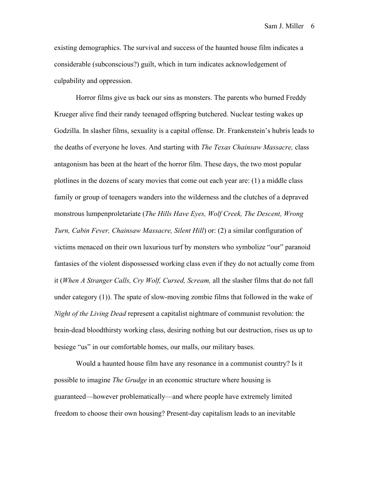Sam J. Miller 6

existing demographics. The survival and success of the haunted house film indicates a considerable (subconscious?) guilt, which in turn indicates acknowledgement of culpability and oppression.

Horror films give us back our sins as monsters. The parents who burned Freddy Krueger alive find their randy teenaged offspring butchered. Nuclear testing wakes up Godzilla. In slasher films, sexuality is a capital offense. Dr. Frankenstein's hubris leads to the deaths of everyone he loves. And starting with *The Texas Chainsaw Massacre,* class antagonism has been at the heart of the horror film. These days, the two most popular plotlines in the dozens of scary movies that come out each year are: (1) a middle class family or group of teenagers wanders into the wilderness and the clutches of a depraved monstrous lumpenproletariate (*The Hills Have Eyes, Wolf Creek, The Descent, Wrong Turn, Cabin Fever, Chainsaw Massacre, Silent Hill*) or: (2) a similar configuration of victims menaced on their own luxurious turf by monsters who symbolize "our" paranoid fantasies of the violent dispossessed working class even if they do not actually come from it (*When A Stranger Calls, Cry Wolf, Cursed, Scream,* all the slasher films that do not fall under category (1)). The spate of slow-moving zombie films that followed in the wake of *Night of the Living Dead* represent a capitalist nightmare of communist revolution: the brain-dead bloodthirsty working class, desiring nothing but our destruction, rises us up to besiege "us" in our comfortable homes, our malls, our military bases.

Would a haunted house film have any resonance in a communist country? Is it possible to imagine *The Grudge* in an economic structure where housing is guaranteed—however problematically—and where people have extremely limited freedom to choose their own housing? Present-day capitalism leads to an inevitable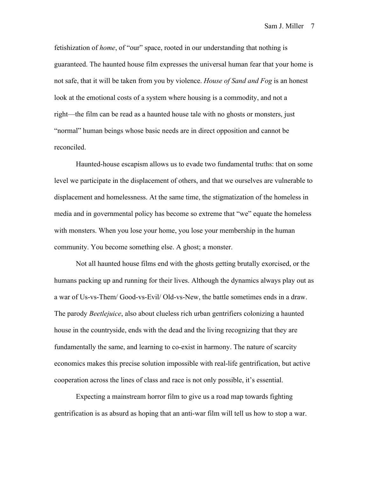fetishization of *home*, of "our" space, rooted in our understanding that nothing is guaranteed. The haunted house film expresses the universal human fear that your home is not safe, that it will be taken from you by violence. *House of Sand and Fog* is an honest look at the emotional costs of a system where housing is a commodity, and not a right—the film can be read as a haunted house tale with no ghosts or monsters, just "normal" human beings whose basic needs are in direct opposition and cannot be reconciled.

Haunted-house escapism allows us to evade two fundamental truths: that on some level we participate in the displacement of others, and that we ourselves are vulnerable to displacement and homelessness. At the same time, the stigmatization of the homeless in media and in governmental policy has become so extreme that "we" equate the homeless with monsters. When you lose your home, you lose your membership in the human community. You become something else. A ghost; a monster.

Not all haunted house films end with the ghosts getting brutally exorcised, or the humans packing up and running for their lives. Although the dynamics always play out as a war of Us-vs-Them/ Good-vs-Evil/ Old-vs-New, the battle sometimes ends in a draw. The parody *Beetlejuice*, also about clueless rich urban gentrifiers colonizing a haunted house in the countryside, ends with the dead and the living recognizing that they are fundamentally the same, and learning to co-exist in harmony. The nature of scarcity economics makes this precise solution impossible with real-life gentrification, but active cooperation across the lines of class and race is not only possible, it's essential.

Expecting a mainstream horror film to give us a road map towards fighting gentrification is as absurd as hoping that an anti-war film will tell us how to stop a war.